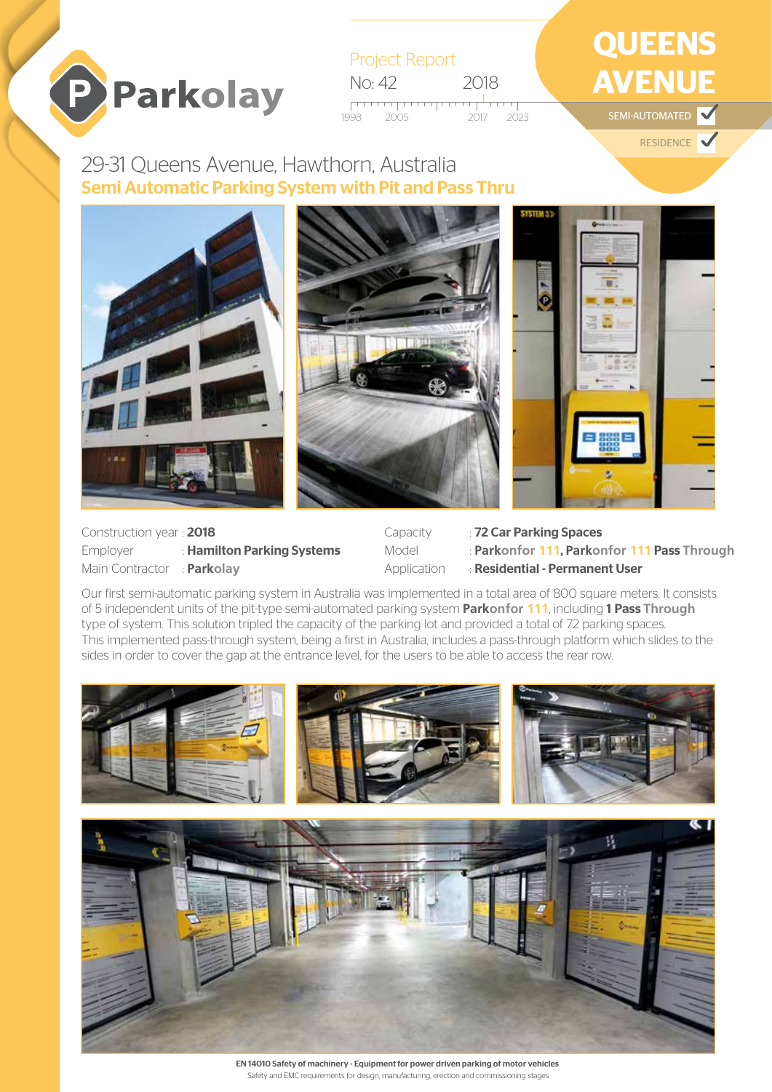

| <b>Project Report</b> |               |
|-----------------------|---------------|
| No: 42                | 2018          |
| - 2005<br>1998        | $2017 - 2023$ |

## **QUEENS AVENUE** SEMI-AUTOMATED

RESIDENCE

29-31 Queens Avenue, Hawthorn, Australia Semi Automatic Parking System with Pit and Pass Thru



Construction year : 2018 Employer : Hamilton Parking Systems Main Contractor : **Parkolay**

Capacity : 72 Car Parking Spaces

Model : **Parkonfor 111**, **Parkonfor 111** Pass **Through**

Application : Residential - Permanent User

Our first semi-automatic parking system in Australia was implemented in a total area of 800 square meters. It consists of 5 independent units of the pit-type semi-automated parking system **Parkonfor 111**, including 1 Pass **Through** type of system. This solution tripled the capacity of the parking lot and provided a total of 72 parking spaces. This implemented pass-through system, being a first in Australia, includes a pass-through platform which slides to the sides in order to cover the gap at the entrance level, for the users to be able to access the rear row.



EN 14010 Safety of machinery - Equipment for power driven parking of motor vehicles Safety and EMC requirements for design, manufacturing, erection and commissioning stages